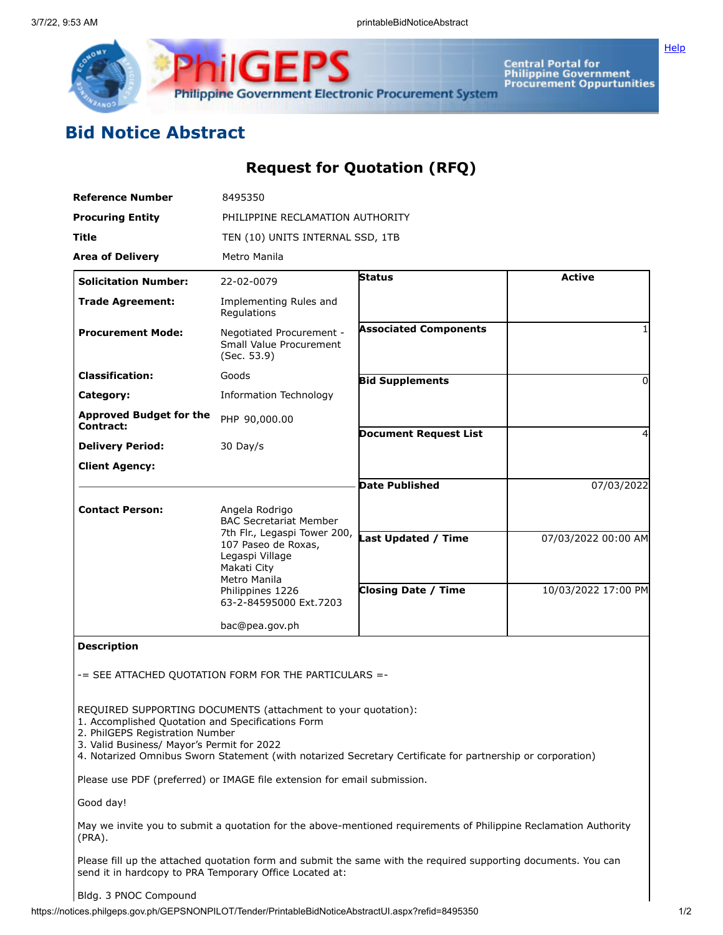

**Central Portal for<br>Philippine Government<br>Procurement Oppurtunities** 

[Help](javascript:void(window.open()

# **Bid Notice Abstract**

## **Request for Quotation (RFQ)**

| <b>Reference Number</b>                                                                                                            | 8495350                                                                                                                   |                                                                                                                  |                                            |  |  |  |  |
|------------------------------------------------------------------------------------------------------------------------------------|---------------------------------------------------------------------------------------------------------------------------|------------------------------------------------------------------------------------------------------------------|--------------------------------------------|--|--|--|--|
| <b>Procuring Entity</b>                                                                                                            | PHILIPPINE RECLAMATION AUTHORITY                                                                                          |                                                                                                                  |                                            |  |  |  |  |
| Title                                                                                                                              | TEN (10) UNITS INTERNAL SSD, 1TB                                                                                          |                                                                                                                  |                                            |  |  |  |  |
| <b>Area of Delivery</b>                                                                                                            | Metro Manila                                                                                                              |                                                                                                                  |                                            |  |  |  |  |
| <b>Solicitation Number:</b>                                                                                                        | 22-02-0079                                                                                                                | Status                                                                                                           | <b>Active</b>                              |  |  |  |  |
| <b>Trade Agreement:</b>                                                                                                            | Implementing Rules and<br>Regulations                                                                                     |                                                                                                                  |                                            |  |  |  |  |
| <b>Procurement Mode:</b>                                                                                                           | Negotiated Procurement -<br>Small Value Procurement<br>(Sec. 53.9)                                                        | <b>Associated Components</b>                                                                                     |                                            |  |  |  |  |
| <b>Classification:</b>                                                                                                             | Goods                                                                                                                     | <b>Bid Supplements</b>                                                                                           |                                            |  |  |  |  |
| Category:                                                                                                                          | <b>Information Technology</b>                                                                                             |                                                                                                                  |                                            |  |  |  |  |
| <b>Approved Budget for the</b><br><b>Contract:</b>                                                                                 | PHP 90,000.00                                                                                                             |                                                                                                                  |                                            |  |  |  |  |
| <b>Delivery Period:</b>                                                                                                            | 30 Day/s                                                                                                                  | <b>Document Request List</b>                                                                                     |                                            |  |  |  |  |
| <b>Client Agency:</b>                                                                                                              |                                                                                                                           |                                                                                                                  |                                            |  |  |  |  |
|                                                                                                                                    |                                                                                                                           | <b>Date Published</b>                                                                                            | 07/03/2022                                 |  |  |  |  |
| <b>Contact Person:</b>                                                                                                             | Angela Rodrigo<br><b>BAC Secretariat Member</b>                                                                           |                                                                                                                  |                                            |  |  |  |  |
|                                                                                                                                    | 7th Flr., Legaspi Tower 200,<br>107 Paseo de Roxas,<br>Legaspi Village<br>Makati City<br>Metro Manila<br>Philippines 1226 | Last Updated / Time<br><b>Closing Date / Time</b>                                                                | 07/03/2022 00:00 AM<br>10/03/2022 17:00 PM |  |  |  |  |
|                                                                                                                                    | 63-2-84595000 Ext.7203                                                                                                    |                                                                                                                  |                                            |  |  |  |  |
|                                                                                                                                    | bac@pea.gov.ph                                                                                                            |                                                                                                                  |                                            |  |  |  |  |
| <b>Description</b>                                                                                                                 |                                                                                                                           |                                                                                                                  |                                            |  |  |  |  |
|                                                                                                                                    | -= SEE ATTACHED QUOTATION FORM FOR THE PARTICULARS =-                                                                     |                                                                                                                  |                                            |  |  |  |  |
| 1. Accomplished Quotation and Specifications Form<br>2. PhilGEPS Registration Number<br>3. Valid Business/ Mayor's Permit for 2022 | REQUIRED SUPPORTING DOCUMENTS (attachment to your quotation):                                                             | 4. Notarized Omnibus Sworn Statement (with notarized Secretary Certificate for partnership or corporation)       |                                            |  |  |  |  |
|                                                                                                                                    | Please use PDF (preferred) or IMAGE file extension for email submission.                                                  |                                                                                                                  |                                            |  |  |  |  |
| Good day!                                                                                                                          |                                                                                                                           |                                                                                                                  |                                            |  |  |  |  |
| (PRA).                                                                                                                             |                                                                                                                           | May we invite you to submit a quotation for the above-mentioned requirements of Philippine Reclamation Authority |                                            |  |  |  |  |
| send it in hardcopy to PRA Temporary Office Located at:                                                                            |                                                                                                                           | Please fill up the attached quotation form and submit the same with the required supporting documents. You can   |                                            |  |  |  |  |

#### Bldg. 3 PNOC Compound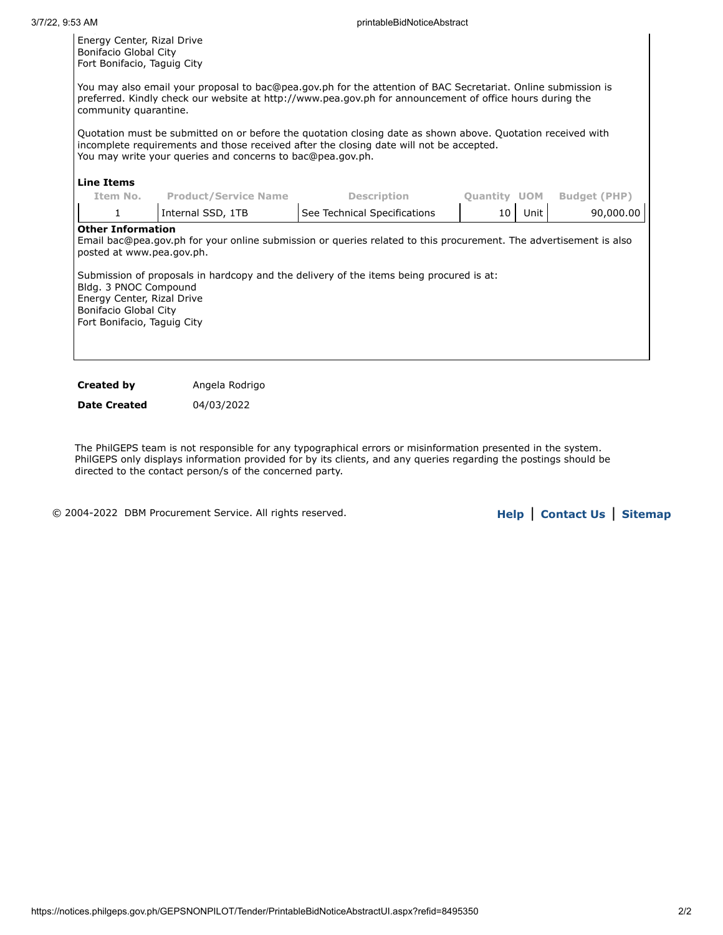external contracts of the contracts of the contracts of the contracts of the contracts of the contracts of the<br>The contracts of the contracts of the contracts of the contracts of the contracts of the contracts of the contr Energy Center, Rizal Drive Bonifacio Global City Fort Bonifacio, Taguig City

You may also email your proposal to bac@pea.gov.ph for the attention of BAC Secretariat. Online submission is preferred. Kindly check our website at http://www.pea.gov.ph for announcement of office hours during the community quarantine.

Quotation must be submitted on or before the quotation closing date as shown above. Quotation received with incomplete requirements and those received after the closing date will not be accepted. You may write your queries and concerns to bac@pea.gov.ph.

#### **Line Items**

| See Technical Specifications<br>Internal SSD, 1TB<br>Unit<br>10                                                                                                                                                                                                                                                                                                                      | 90,000.00 |
|--------------------------------------------------------------------------------------------------------------------------------------------------------------------------------------------------------------------------------------------------------------------------------------------------------------------------------------------------------------------------------------|-----------|
| <b>Other Information</b><br>Email bac@pea.gov.ph for your online submission or queries related to this procurement. The advertisement is also<br>posted at www.pea.gov.ph.<br>Submission of proposals in hardcopy and the delivery of the items being procured is at:<br>Bldg. 3 PNOC Compound<br>Energy Center, Rizal Drive<br>Bonifacio Global City<br>Fort Bonifacio, Taguig City |           |

**Created by Angela Rodrigo** 

**Date Created** 04/03/2022

The PhilGEPS team is not responsible for any typographical errors or misinformation presented in the system. PhilGEPS only displays information provided for by its clients, and any queries regarding the postings should be directed to the contact person/s of the concerned party.

© 2004-2022 DBM Procurement Service. All rights reserved. **[Help](javascript:void(window.open()** | **Contact Us** | **[Sitemap](https://notices.philgeps.gov.ph/GEPSNONPILOT/Sitemap/Sitemap.aspx)**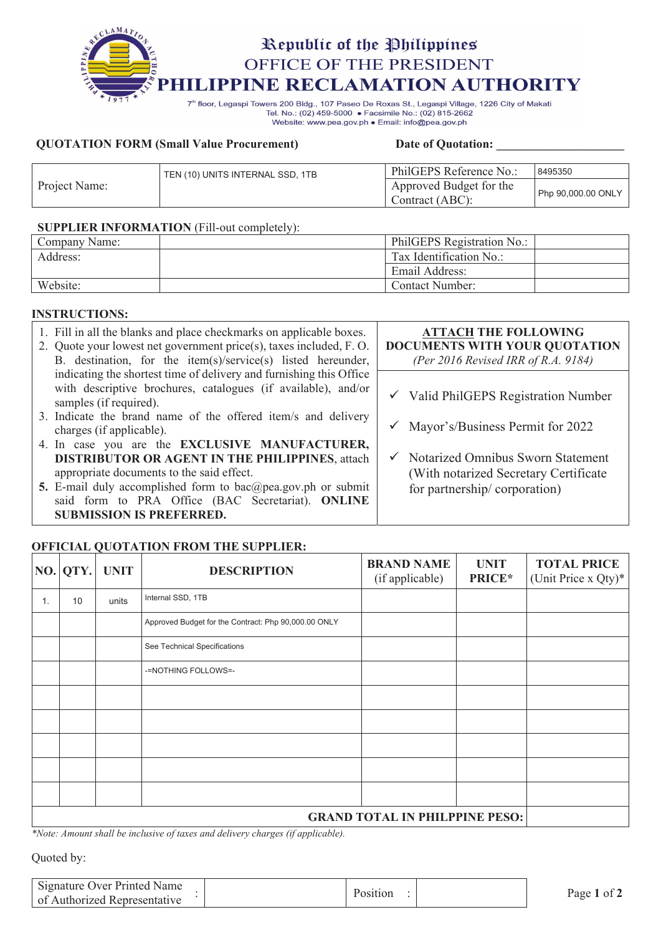

Tel. No.: (02) 459-5000 · Facsimile No.: (02) 815-2662 Website: www.pea.gov.ph . Email: info@pea.gov.ph

#### **QUOTATION FORM (Small Value Procurement)** Date of Quotation:

|               | TEN (10) UNITS INTERNAL SSD, 1TB | PhilGEPS Reference No.:                    | 8495350            |
|---------------|----------------------------------|--------------------------------------------|--------------------|
| Project Name: |                                  | Approved Budget for the<br>Contract (ABC): | Php 90,000.00 ONLY |

#### **SUPPLIER INFORMATION** (Fill-out completely):

| Company Name: | PhilGEPS Registration No.: |  |
|---------------|----------------------------|--|
| Address:      | Tax Identification No.:    |  |
|               | Email Address:             |  |
| Website:      | Contact Number:            |  |

### **INSTRUCTIONS:**

| 1. Fill in all the blanks and place checkmarks on applicable boxes.<br>2. Quote your lowest net government price(s), taxes included, F.O.<br>B. destination, for the item(s)/service(s) listed hereunder, | <b>ATTACH THE FOLLOWING</b><br>DOCUMENTS WITH YOUR QUOTATION<br>(Per 2016 Revised IRR of R.A. 9184) |
|-----------------------------------------------------------------------------------------------------------------------------------------------------------------------------------------------------------|-----------------------------------------------------------------------------------------------------|
| indicating the shortest time of delivery and furnishing this Office<br>with descriptive brochures, catalogues (if available), and/or                                                                      |                                                                                                     |
| samples (if required).                                                                                                                                                                                    | $\checkmark$ Valid PhilGEPS Registration Number                                                     |
| 3. Indicate the brand name of the offered item/s and delivery<br>charges (if applicable).                                                                                                                 | $\checkmark$ Mayor's/Business Permit for 2022                                                       |
| 4. In case you are the EXCLUSIVE MANUFACTURER,                                                                                                                                                            |                                                                                                     |
| <b>DISTRIBUTOR OR AGENT IN THE PHILIPPINES, attach</b>                                                                                                                                                    | $\checkmark$ Notarized Omnibus Sworn Statement                                                      |
| appropriate documents to the said effect.                                                                                                                                                                 | (With notarized Secretary Certificate)                                                              |
| 5. E-mail duly accomplished form to bac@pea.gov.ph or submit                                                                                                                                              | for partnership/corporation)                                                                        |
| said form to PRA Office (BAC Secretariat). ONLINE                                                                                                                                                         |                                                                                                     |
| <b>SUBMISSION IS PREFERRED.</b>                                                                                                                                                                           |                                                                                                     |

### **OFFICIAL QUOTATION FROM THE SUPPLIER:**

|                                       | NO. QTY. | <b>UNIT</b> | <b>DESCRIPTION</b>                                   | <b>BRAND NAME</b><br>(if applicable) | <b>UNIT</b><br>PRICE* | <b>TOTAL PRICE</b><br>(Unit Price x Qty)* |
|---------------------------------------|----------|-------------|------------------------------------------------------|--------------------------------------|-----------------------|-------------------------------------------|
| 1.                                    | 10       | units       | Internal SSD, 1TB                                    |                                      |                       |                                           |
|                                       |          |             | Approved Budget for the Contract: Php 90,000.00 ONLY |                                      |                       |                                           |
|                                       |          |             | See Technical Specifications                         |                                      |                       |                                           |
|                                       |          |             | -=NOTHING FOLLOWS=-                                  |                                      |                       |                                           |
|                                       |          |             |                                                      |                                      |                       |                                           |
|                                       |          |             |                                                      |                                      |                       |                                           |
|                                       |          |             |                                                      |                                      |                       |                                           |
|                                       |          |             |                                                      |                                      |                       |                                           |
|                                       |          |             |                                                      |                                      |                       |                                           |
| <b>GRAND TOTAL IN PHILPPINE PESO:</b> |          |             |                                                      |                                      |                       |                                           |

*\*Note: Amount shall be inclusive of taxes and delivery charges (if applicable).*

Quoted by:

| Signature Over Printed Name<br>of Authorized Representative | Position | Page 1 of 7 |
|-------------------------------------------------------------|----------|-------------|
|                                                             |          |             |